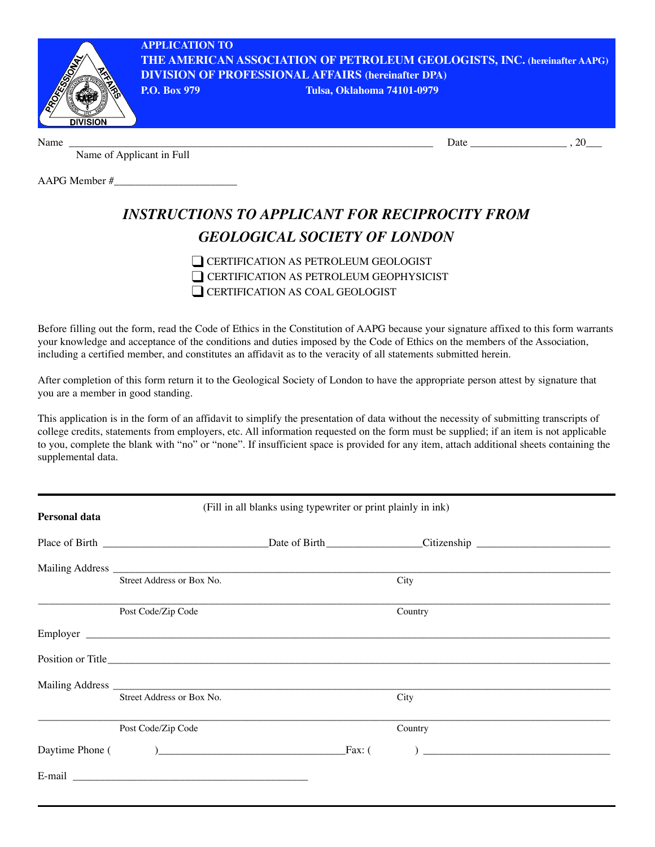

Name \_\_\_\_\_\_\_\_\_\_\_\_\_\_\_\_\_\_\_\_\_\_\_\_\_\_\_\_\_\_\_\_\_\_\_\_\_\_\_\_\_\_\_\_\_\_\_\_\_\_\_\_\_\_\_\_\_\_\_\_\_\_\_\_\_\_\_\_ Date \_\_\_\_\_\_\_\_\_\_\_\_\_\_\_\_\_\_ , 20\_\_\_

Name of Applicant in Full

AAPG Member #\_\_\_\_\_\_\_\_\_\_\_\_\_\_\_\_\_\_\_\_\_\_\_

## *INSTRUCTIONS TO APPLICANT FOR RECIPROCITY FROM GEOLOGICAL SOCIETY OF LONDON*

❑ CERTIFICATION AS PETROLEUM GEOLOGIST ❑ CERTIFICATION AS PETROLEUM GEOPHYSICIST ◯ CERTIFICATION AS COAL GEOLOGIST

Before filling out the form, read the Code of Ethics in the Constitution of AAPG because your signature affixed to this form warrants your knowledge and acceptance of the conditions and duties imposed by the Code of Ethics on the members of the Association, including a certified member, and constitutes an affidavit as to the veracity of all statements submitted herein.

After completion of this form return it to the Geological Society of London to have the appropriate person attest by signature that you are a member in good standing.

This application is in the form of an affidavit to simplify the presentation of data without the necessity of submitting transcripts of college credits, statements from employers, etc. All information requested on the form must be supplied; if an item is not applicable to you, complete the blank with "no" or "none". If insufficient space is provided for any item, attach additional sheets containing the supplemental data.

| Personal data | (Fill in all blanks using typewriter or print plainly in ink) |  |                |  |
|---------------|---------------------------------------------------------------|--|----------------|--|
|               |                                                               |  |                |  |
|               |                                                               |  |                |  |
|               |                                                               |  |                |  |
|               | Street Address or Box No.                                     |  | City           |  |
|               | Post Code/Zip Code                                            |  | Country        |  |
|               |                                                               |  |                |  |
|               |                                                               |  |                |  |
|               |                                                               |  |                |  |
|               | Street Address or Box No.                                     |  | City           |  |
|               | Post Code/Zip Code                                            |  | Country        |  |
|               |                                                               |  | $\overline{a}$ |  |
|               |                                                               |  |                |  |